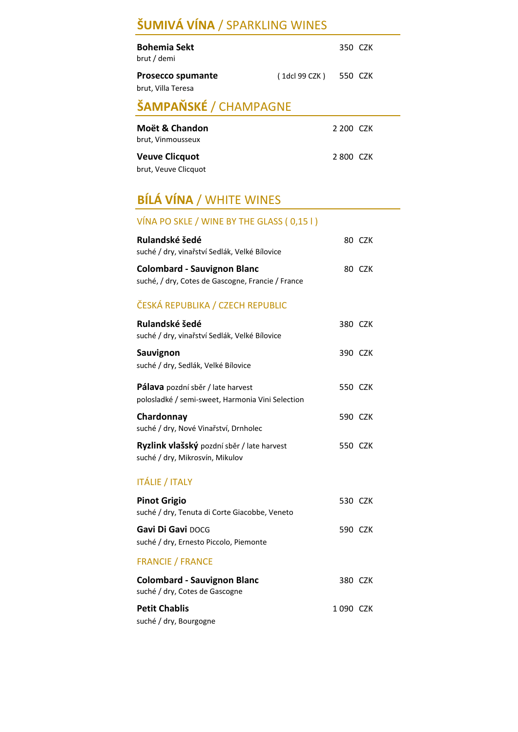# **ŠUMIVÁ VÍNA** / SPARKLING WINES

| <b>Bohemia Sekt</b><br>brut / demi             |                       | 350 CZK   |
|------------------------------------------------|-----------------------|-----------|
| <b>Prosecco spumante</b><br>brut, Villa Teresa | (1dcl 99 CZK) 550 CZK |           |
| ŠAMPAŇSKÉ / CHAMPAGNE                          |                       |           |
| Moët & Chandon<br>brut, Vinmousseux            |                       | 2 200 CZK |

| .                     |           |  |
|-----------------------|-----------|--|
| <b>Veuve Clicquot</b> | 2 800 CZK |  |
| brut, Veuve Clicquot  |           |  |

## **BÍLÁ VÍNA** / WHITE WINES

| VÍNA PO SKLE / WINE BY THE GLASS (0,15 l) |  |
|-------------------------------------------|--|
|                                           |  |

| Rulandské šedé<br>suché / dry, vinařství Sedlák, Velké Bílovice                              |         | 80 CZK |
|----------------------------------------------------------------------------------------------|---------|--------|
| <b>Colombard - Sauvignon Blanc</b><br>suché, / dry, Cotes de Gascogne, Francie / France      |         | 80 CZK |
| ČESKÁ REPUBLIKA / CZECH REPUBLIC                                                             |         |        |
| Rulandské šedé<br>suché / dry, vinařství Sedlák, Velké Bílovice                              | 380 CZK |        |
| Sauvignon<br>suché / dry, Sedlák, Velké Bílovice                                             | 390 CZK |        |
| <b>Pálava</b> pozdní sběr / late harvest<br>polosladké / semi-sweet, Harmonia Vini Selection | 550 CZK |        |
| Chardonnay<br>suché / dry, Nové Vinařství, Drnholec                                          | 590 CZK |        |
| Ryzlink vlašský pozdní sběr / late harvest<br>suché / dry, Mikrosvín, Mikulov                | 550 CZK |        |

### ITÁLIE / ITALY

| <b>Pinot Grigio</b><br>suché / dry, Tenuta di Corte Giacobbe, Veneto |           | 530 CZK |
|----------------------------------------------------------------------|-----------|---------|
| <b>Gavi Di Gavi DOCG</b><br>suché / dry, Ernesto Piccolo, Piemonte   |           | 590 CZK |
| <b>FRANCIE / FRANCE</b>                                              |           |         |
| <b>Colombard - Sauvignon Blanc</b><br>suché / dry, Cotes de Gascogne |           | 380 CZK |
| <b>Petit Chablis</b><br>suché / dry, Bourgogne                       | 1 090 CZK |         |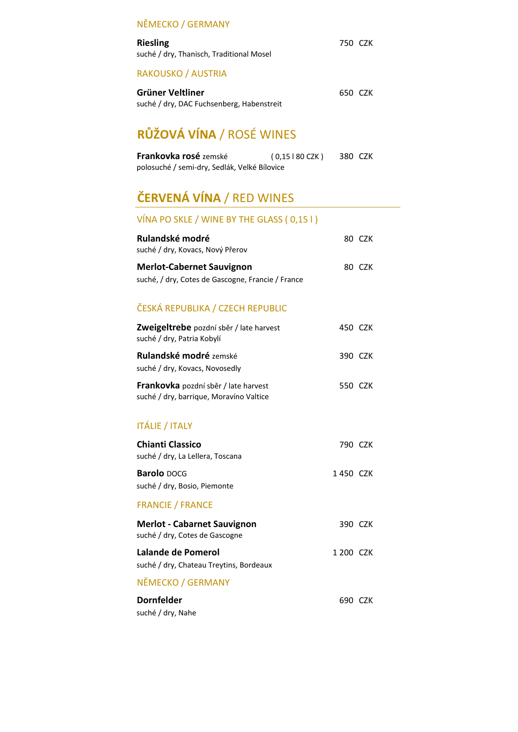#### NĚMECKO / GERMANY

| <b>Riesling</b><br>suché / dry, Thanisch, Traditional Mosel   | 750 CZK |  |
|---------------------------------------------------------------|---------|--|
| RAKOUSKO / AUSTRIA                                            |         |  |
| Grüner Veltliner<br>suché / dry, DAC Fuchsenberg, Habenstreit | 650 CZK |  |

# **RŮŽOVÁ VÍNA** / ROSÉ WINES

| <b>Frankovka rosé zemské</b>                 | (0,15180CZK) | 380 CZK |  |
|----------------------------------------------|--------------|---------|--|
| polosuché / semi-dry, Sedlák, Velké Bílovice |              |         |  |

# **ČERVENÁ VÍNA** / RED WINES

|  | VÍNA PO SKLE / WINE BY THE GLASS (0,151) |  |  |
|--|------------------------------------------|--|--|
|--|------------------------------------------|--|--|

| Rulandské modré<br>suché / dry, Kovacs, Nový Přerov | 80 CZK |
|-----------------------------------------------------|--------|
| <b>Merlot-Cabernet Sauvignon</b>                    | 80 CZK |
| suché, / dry, Cotes de Gascogne, Francie / France   |        |

### ČESKÁ REPUBLIKA / CZECH REPUBLIC

| Zweigeltrebe pozdní sběr / late harvest<br>suché / dry, Patria Kobylí           | 450 CZK   |
|---------------------------------------------------------------------------------|-----------|
| <b>Rulandské modré</b> zemské<br>suché / dry, Kovacs, Novosedly                 | 390 CZK   |
| Frankovka pozdní sběr / late harvest<br>suché / dry, barrique, Moravíno Valtice | 550 CZK   |
| <b>ITÁLIE / ITALY</b>                                                           |           |
| <b>Chianti Classico</b><br>suché / dry, La Lellera, Toscana                     | 790 CZK   |
| <b>Barolo DOCG</b><br>suché / dry, Bosio, Piemonte                              | 1450 CZK  |
| <b>FRANCIE / FRANCE</b>                                                         |           |
| <b>Merlot - Cabarnet Sauvignon</b><br>suché / dry, Cotes de Gascogne            | 390 CZK   |
| Lalande de Pomerol<br>suché / dry, Chateau Treytins, Bordeaux                   | 1 200 CZK |
| NĚMECKO / GERMANY                                                               |           |
| <b>Dornfelder</b><br>suché / dry, Nahe                                          | 690 CZK   |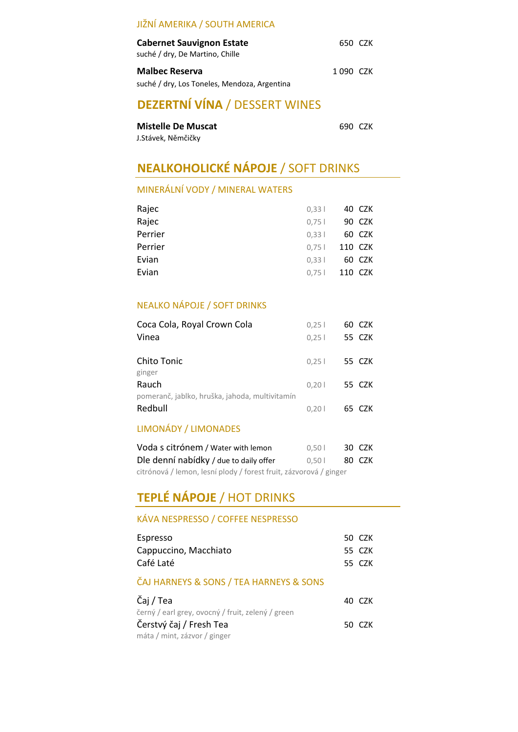#### JIŽNÍ AMERIKA / SOUTH AMERICA

| <b>Cabernet Sauvignon Estate</b>             | 650 CZK  |
|----------------------------------------------|----------|
| suché / dry, De Martino, Chille              |          |
| <b>Malbec Reserva</b>                        | 1090 CZK |
| suché / dry, Los Toneles, Mendoza, Argentina |          |

## **DEZERTNÍ VÍNA** / DESSERT WINES

| <b>Mistelle De Muscat</b> | 690 CZK |  |
|---------------------------|---------|--|
| J.Stávek, Němčičky        |         |  |

## **NEALKOHOLICKÉ NÁPOJE** / SOFT DRINKS

### MINERÁLNÍ VODY / MINERAL WATERS

| Rajec   | 0,331             | 40 CZK |
|---------|-------------------|--------|
| Rajec   | 90 CZK<br>$0.75$  |        |
| Perrier | 0.331             | 60 CZK |
| Perrier | 110 CZK<br>$0.75$ |        |
| Evian   | 0.331             | 60 CZK |
| Evian   | 110 CZK<br>$0.75$ |        |

#### NEALKO NÁPOJE / SOFT DRINKS

| Coca Cola, Royal Crown Cola                               | 0,251 | 60 CZK |
|-----------------------------------------------------------|-------|--------|
| Vinea                                                     | 0,25  | 55 CZK |
| Chito Tonic<br>ginger                                     | 0.251 | 55 CZK |
| Rauch                                                     | 0.201 | 55 CZK |
| pomeranč, jablko, hruška, jahoda, multivitamín<br>Redbull | 0.201 | 65 CZK |
| <b>IIMAONÁDY / LIMAONADEC</b>                             |       |        |

#### LIMONADY / LIMONADES

| Voda s citrónem / Water with lemon                                | 0.501 |  | 30 CZK |
|-------------------------------------------------------------------|-------|--|--------|
| Dle denní nabídky / due to daily offer                            | 0.501 |  | 80 CZK |
| citrónová / lemon, lesní plody / forest fruit, zázvorová / ginger |       |  |        |

## **TEPLÉ NÁPOJE** / HOT DRINKS

### KÁVA NESPRESSO / COFFEE NESPRESSO

| Espresso                                          | 50 CZK |
|---------------------------------------------------|--------|
| Cappuccino, Macchiato                             | 55 CZK |
| Café Laté                                         | 55 CZK |
| ČAJ HARNEYS & SONS / TEA HARNEYS & SONS           |        |
| Čaj / Tea                                         | 40 CZK |
| černý / earl grey, ovocný / fruit, zelený / green |        |
| Čerstvý čaj / Fresh Tea                           | 50 CZK |
| máta / mint, zázvor / ginger                      |        |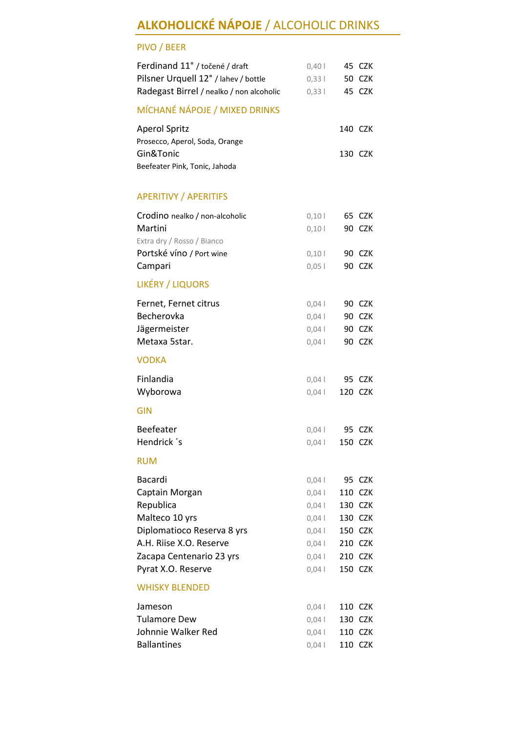# **ALKOHOLICKÉ NÁPOJE** / ALCOHOLIC DRINKS

## PIVO / BEER

| Ferdinand 11° / točené / draft<br>Pilsner Urquell 12° / lahev / bottle<br>Radegast Birrel / nealko / non alcoholic | 0,40<br>0,331<br>0,331 | 45 CZK<br>50 CZK<br>45 CZK |
|--------------------------------------------------------------------------------------------------------------------|------------------------|----------------------------|
| MÍCHANÉ NÁPOJE / MIXED DRINKS                                                                                      |                        |                            |
| <b>Aperol Spritz</b><br>Prosecco, Aperol, Soda, Orange<br>Gin&Tonic                                                |                        | 140 CZK<br>130 CZK         |
| Beefeater Pink, Tonic, Jahoda                                                                                      |                        |                            |
| <b>APERITIVY / APERITIFS</b>                                                                                       |                        |                            |
| Crodino nealko / non-alcoholic                                                                                     | 0,101                  | 65 CZK                     |
| Martini                                                                                                            | 0,101                  | 90 CZK                     |
| Extra dry / Rosso / Bianco<br>Portské víno / Port wine                                                             | 0,101                  | 90 CZK                     |
| Campari                                                                                                            | 0,051                  | 90 CZK                     |
| <b>LIKÉRY / LIQUORS</b>                                                                                            |                        |                            |
| Fernet, Fernet citrus                                                                                              | 0,04                   | 90 CZK                     |
| Becherovka                                                                                                         | 0,04                   | 90 CZK                     |
| Jägermeister                                                                                                       | 0,04                   | 90 CZK                     |
| Metaxa 5star.                                                                                                      | 0,04                   | 90 CZK                     |
| <b>VODKA</b>                                                                                                       |                        |                            |
| Finlandia                                                                                                          | $0,04$                 | 95 CZK                     |
| Wyborowa                                                                                                           | 0,041                  | 120 CZK                    |
| <b>GIN</b>                                                                                                         |                        |                            |
| Beefeater                                                                                                          | 0,04                   | 95 CZK                     |
| Hendrick 's                                                                                                        | 0,04                   | 150 CZK                    |
| <b>RUM</b>                                                                                                         |                        |                            |
| <b>Bacardi</b>                                                                                                     | 0,04                   | 95 CZK                     |
| Captain Morgan                                                                                                     | 0,04                   | 110<br>CZK                 |
| Republica                                                                                                          | 0,04                   | <b>CZK</b><br>130          |
| Malteco 10 yrs                                                                                                     | $0,04$                 | 130 CZK                    |
| Diplomatioco Reserva 8 yrs                                                                                         | 0,04                   | 150 CZK                    |
| A.H. Riise X.O. Reserve                                                                                            | 0,04                   | 210 CZK                    |
| Zacapa Centenario 23 yrs                                                                                           | 0,04                   | <b>CZK</b><br>210          |
| Pyrat X.O. Reserve                                                                                                 | 0,04                   | 150 CZK                    |
| <b>WHISKY BLENDED</b>                                                                                              |                        |                            |
| Jameson                                                                                                            | 0,04                   | 110 CZK                    |
| <b>Tulamore Dew</b>                                                                                                | 0,04                   | 130<br><b>CZK</b>          |
| Johnnie Walker Red                                                                                                 | 0,041                  | 110 CZK                    |
| <b>Ballantines</b>                                                                                                 | 0,041                  | 110 CZK                    |